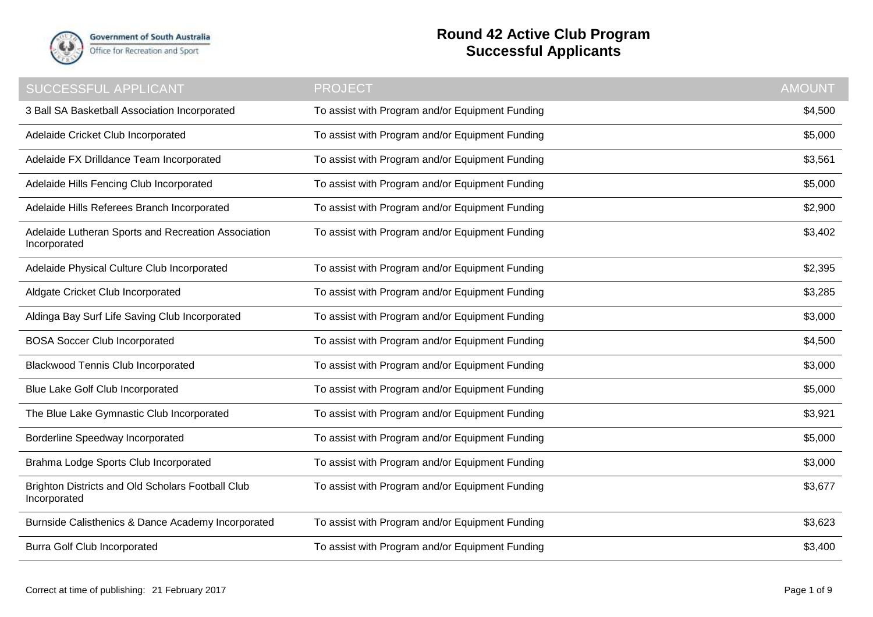

## **Round 42 Active Club Program Successful Applicants**

| SUCCESSFUL APPLICANT                                                | <b>PROJECT</b>                                  | <b>AMOUNT</b> |
|---------------------------------------------------------------------|-------------------------------------------------|---------------|
| 3 Ball SA Basketball Association Incorporated                       | To assist with Program and/or Equipment Funding | \$4,500       |
| Adelaide Cricket Club Incorporated                                  | To assist with Program and/or Equipment Funding | \$5,000       |
| Adelaide FX Drilldance Team Incorporated                            | To assist with Program and/or Equipment Funding | \$3,561       |
| Adelaide Hills Fencing Club Incorporated                            | To assist with Program and/or Equipment Funding | \$5,000       |
| Adelaide Hills Referees Branch Incorporated                         | To assist with Program and/or Equipment Funding | \$2,900       |
| Adelaide Lutheran Sports and Recreation Association<br>Incorporated | To assist with Program and/or Equipment Funding | \$3,402       |
| Adelaide Physical Culture Club Incorporated                         | To assist with Program and/or Equipment Funding | \$2,395       |
| Aldgate Cricket Club Incorporated                                   | To assist with Program and/or Equipment Funding | \$3,285       |
| Aldinga Bay Surf Life Saving Club Incorporated                      | To assist with Program and/or Equipment Funding | \$3,000       |
| <b>BOSA Soccer Club Incorporated</b>                                | To assist with Program and/or Equipment Funding | \$4,500       |
| <b>Blackwood Tennis Club Incorporated</b>                           | To assist with Program and/or Equipment Funding | \$3,000       |
| Blue Lake Golf Club Incorporated                                    | To assist with Program and/or Equipment Funding | \$5,000       |
| The Blue Lake Gymnastic Club Incorporated                           | To assist with Program and/or Equipment Funding | \$3,921       |
| Borderline Speedway Incorporated                                    | To assist with Program and/or Equipment Funding | \$5,000       |
| Brahma Lodge Sports Club Incorporated                               | To assist with Program and/or Equipment Funding | \$3,000       |
| Brighton Districts and Old Scholars Football Club<br>Incorporated   | To assist with Program and/or Equipment Funding | \$3,677       |
| Burnside Calisthenics & Dance Academy Incorporated                  | To assist with Program and/or Equipment Funding | \$3,623       |
| <b>Burra Golf Club Incorporated</b>                                 | To assist with Program and/or Equipment Funding | \$3,400       |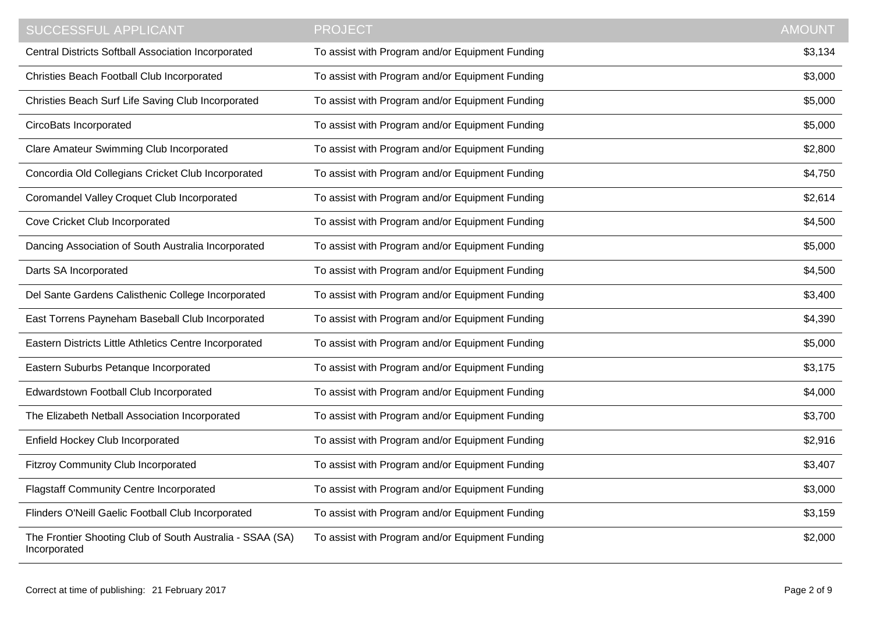| <b>SUCCESSFUL APPLICANT</b>                                               | <b>PROJECT</b>                                  | <b>AMOUNT</b> |
|---------------------------------------------------------------------------|-------------------------------------------------|---------------|
| <b>Central Districts Softball Association Incorporated</b>                | To assist with Program and/or Equipment Funding | \$3,134       |
| Christies Beach Football Club Incorporated                                | To assist with Program and/or Equipment Funding | \$3,000       |
| Christies Beach Surf Life Saving Club Incorporated                        | To assist with Program and/or Equipment Funding | \$5,000       |
| CircoBats Incorporated                                                    | To assist with Program and/or Equipment Funding | \$5,000       |
| Clare Amateur Swimming Club Incorporated                                  | To assist with Program and/or Equipment Funding | \$2,800       |
| Concordia Old Collegians Cricket Club Incorporated                        | To assist with Program and/or Equipment Funding | \$4,750       |
| Coromandel Valley Croquet Club Incorporated                               | To assist with Program and/or Equipment Funding | \$2,614       |
| Cove Cricket Club Incorporated                                            | To assist with Program and/or Equipment Funding | \$4,500       |
| Dancing Association of South Australia Incorporated                       | To assist with Program and/or Equipment Funding | \$5,000       |
| Darts SA Incorporated                                                     | To assist with Program and/or Equipment Funding | \$4,500       |
| Del Sante Gardens Calisthenic College Incorporated                        | To assist with Program and/or Equipment Funding | \$3,400       |
| East Torrens Payneham Baseball Club Incorporated                          | To assist with Program and/or Equipment Funding | \$4,390       |
| Eastern Districts Little Athletics Centre Incorporated                    | To assist with Program and/or Equipment Funding | \$5,000       |
| Eastern Suburbs Petanque Incorporated                                     | To assist with Program and/or Equipment Funding | \$3,175       |
| Edwardstown Football Club Incorporated                                    | To assist with Program and/or Equipment Funding | \$4,000       |
| The Elizabeth Netball Association Incorporated                            | To assist with Program and/or Equipment Funding | \$3,700       |
| Enfield Hockey Club Incorporated                                          | To assist with Program and/or Equipment Funding | \$2,916       |
| <b>Fitzroy Community Club Incorporated</b>                                | To assist with Program and/or Equipment Funding | \$3,407       |
| <b>Flagstaff Community Centre Incorporated</b>                            | To assist with Program and/or Equipment Funding | \$3,000       |
| Flinders O'Neill Gaelic Football Club Incorporated                        | To assist with Program and/or Equipment Funding | \$3,159       |
| The Frontier Shooting Club of South Australia - SSAA (SA)<br>Incorporated | To assist with Program and/or Equipment Funding | \$2,000       |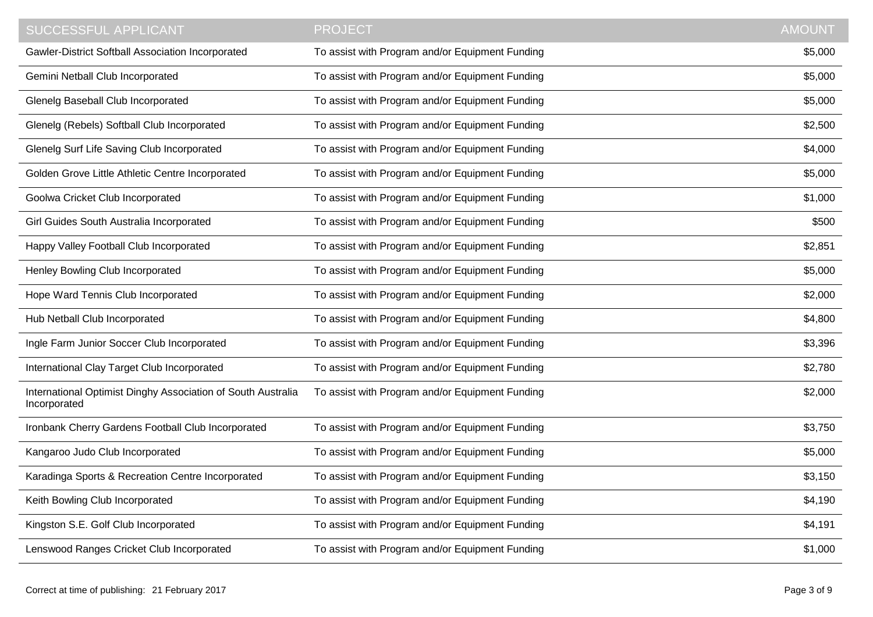| <b>SUCCESSFUL APPLICANT</b>                                                  | <b>PROJECT</b>                                  | <b>AMOUNT</b> |
|------------------------------------------------------------------------------|-------------------------------------------------|---------------|
| Gawler-District Softball Association Incorporated                            | To assist with Program and/or Equipment Funding | \$5,000       |
| Gemini Netball Club Incorporated                                             | To assist with Program and/or Equipment Funding | \$5,000       |
| Glenelg Baseball Club Incorporated                                           | To assist with Program and/or Equipment Funding | \$5,000       |
| Glenelg (Rebels) Softball Club Incorporated                                  | To assist with Program and/or Equipment Funding | \$2,500       |
| Glenelg Surf Life Saving Club Incorporated                                   | To assist with Program and/or Equipment Funding | \$4,000       |
| Golden Grove Little Athletic Centre Incorporated                             | To assist with Program and/or Equipment Funding | \$5,000       |
| Goolwa Cricket Club Incorporated                                             | To assist with Program and/or Equipment Funding | \$1,000       |
| Girl Guides South Australia Incorporated                                     | To assist with Program and/or Equipment Funding | \$500         |
| Happy Valley Football Club Incorporated                                      | To assist with Program and/or Equipment Funding | \$2,851       |
| Henley Bowling Club Incorporated                                             | To assist with Program and/or Equipment Funding | \$5,000       |
| Hope Ward Tennis Club Incorporated                                           | To assist with Program and/or Equipment Funding | \$2,000       |
| Hub Netball Club Incorporated                                                | To assist with Program and/or Equipment Funding | \$4,800       |
| Ingle Farm Junior Soccer Club Incorporated                                   | To assist with Program and/or Equipment Funding | \$3,396       |
| International Clay Target Club Incorporated                                  | To assist with Program and/or Equipment Funding | \$2,780       |
| International Optimist Dinghy Association of South Australia<br>Incorporated | To assist with Program and/or Equipment Funding | \$2,000       |
| Ironbank Cherry Gardens Football Club Incorporated                           | To assist with Program and/or Equipment Funding | \$3,750       |
| Kangaroo Judo Club Incorporated                                              | To assist with Program and/or Equipment Funding | \$5,000       |
| Karadinga Sports & Recreation Centre Incorporated                            | To assist with Program and/or Equipment Funding | \$3,150       |
| Keith Bowling Club Incorporated                                              | To assist with Program and/or Equipment Funding | \$4,190       |
| Kingston S.E. Golf Club Incorporated                                         | To assist with Program and/or Equipment Funding | \$4,191       |
| Lenswood Ranges Cricket Club Incorporated                                    | To assist with Program and/or Equipment Funding | \$1,000       |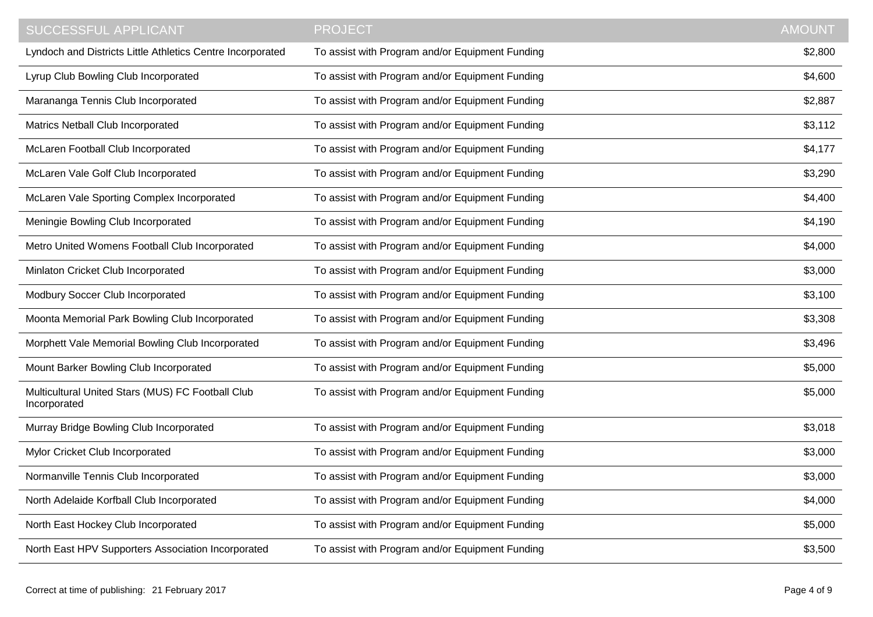| <b>SUCCESSFUL APPLICANT</b>                                       | <b>PROJECT</b>                                  | <b>AMOUNT</b> |
|-------------------------------------------------------------------|-------------------------------------------------|---------------|
| Lyndoch and Districts Little Athletics Centre Incorporated        | To assist with Program and/or Equipment Funding | \$2,800       |
| Lyrup Club Bowling Club Incorporated                              | To assist with Program and/or Equipment Funding | \$4,600       |
| Marananga Tennis Club Incorporated                                | To assist with Program and/or Equipment Funding | \$2,887       |
| Matrics Netball Club Incorporated                                 | To assist with Program and/or Equipment Funding | \$3,112       |
| McLaren Football Club Incorporated                                | To assist with Program and/or Equipment Funding | \$4,177       |
| McLaren Vale Golf Club Incorporated                               | To assist with Program and/or Equipment Funding | \$3,290       |
| McLaren Vale Sporting Complex Incorporated                        | To assist with Program and/or Equipment Funding | \$4,400       |
| Meningie Bowling Club Incorporated                                | To assist with Program and/or Equipment Funding | \$4,190       |
| Metro United Womens Football Club Incorporated                    | To assist with Program and/or Equipment Funding | \$4,000       |
| Minlaton Cricket Club Incorporated                                | To assist with Program and/or Equipment Funding | \$3,000       |
| Modbury Soccer Club Incorporated                                  | To assist with Program and/or Equipment Funding | \$3,100       |
| Moonta Memorial Park Bowling Club Incorporated                    | To assist with Program and/or Equipment Funding | \$3,308       |
| Morphett Vale Memorial Bowling Club Incorporated                  | To assist with Program and/or Equipment Funding | \$3,496       |
| Mount Barker Bowling Club Incorporated                            | To assist with Program and/or Equipment Funding | \$5,000       |
| Multicultural United Stars (MUS) FC Football Club<br>Incorporated | To assist with Program and/or Equipment Funding | \$5,000       |
| Murray Bridge Bowling Club Incorporated                           | To assist with Program and/or Equipment Funding | \$3,018       |
| Mylor Cricket Club Incorporated                                   | To assist with Program and/or Equipment Funding | \$3,000       |
| Normanville Tennis Club Incorporated                              | To assist with Program and/or Equipment Funding | \$3,000       |
| North Adelaide Korfball Club Incorporated                         | To assist with Program and/or Equipment Funding | \$4,000       |
| North East Hockey Club Incorporated                               | To assist with Program and/or Equipment Funding | \$5,000       |
| North East HPV Supporters Association Incorporated                | To assist with Program and/or Equipment Funding | \$3,500       |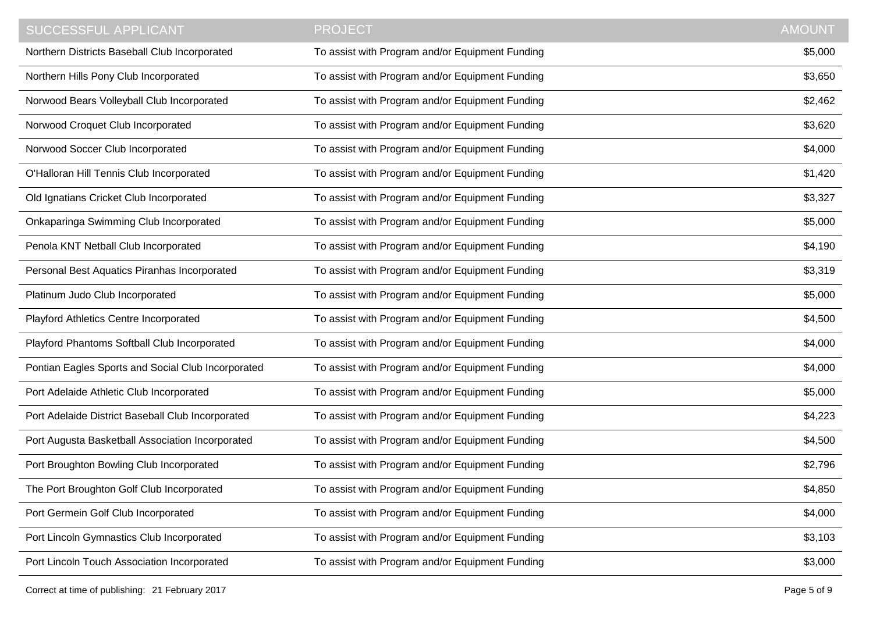| <b>SUCCESSFUL APPLICANT</b>                        | <b>PROJECT</b>                                  | <b>AMOUNT</b> |
|----------------------------------------------------|-------------------------------------------------|---------------|
| Northern Districts Baseball Club Incorporated      | To assist with Program and/or Equipment Funding | \$5,000       |
| Northern Hills Pony Club Incorporated              | To assist with Program and/or Equipment Funding | \$3,650       |
| Norwood Bears Volleyball Club Incorporated         | To assist with Program and/or Equipment Funding | \$2,462       |
| Norwood Croquet Club Incorporated                  | To assist with Program and/or Equipment Funding | \$3,620       |
| Norwood Soccer Club Incorporated                   | To assist with Program and/or Equipment Funding | \$4,000       |
| O'Halloran Hill Tennis Club Incorporated           | To assist with Program and/or Equipment Funding | \$1,420       |
| Old Ignatians Cricket Club Incorporated            | To assist with Program and/or Equipment Funding | \$3,327       |
| Onkaparinga Swimming Club Incorporated             | To assist with Program and/or Equipment Funding | \$5,000       |
| Penola KNT Netball Club Incorporated               | To assist with Program and/or Equipment Funding | \$4,190       |
| Personal Best Aquatics Piranhas Incorporated       | To assist with Program and/or Equipment Funding | \$3,319       |
| Platinum Judo Club Incorporated                    | To assist with Program and/or Equipment Funding | \$5,000       |
| Playford Athletics Centre Incorporated             | To assist with Program and/or Equipment Funding | \$4,500       |
| Playford Phantoms Softball Club Incorporated       | To assist with Program and/or Equipment Funding | \$4,000       |
| Pontian Eagles Sports and Social Club Incorporated | To assist with Program and/or Equipment Funding | \$4,000       |
| Port Adelaide Athletic Club Incorporated           | To assist with Program and/or Equipment Funding | \$5,000       |
| Port Adelaide District Baseball Club Incorporated  | To assist with Program and/or Equipment Funding | \$4,223       |
| Port Augusta Basketball Association Incorporated   | To assist with Program and/or Equipment Funding | \$4,500       |
| Port Broughton Bowling Club Incorporated           | To assist with Program and/or Equipment Funding | \$2,796       |
| The Port Broughton Golf Club Incorporated          | To assist with Program and/or Equipment Funding | \$4,850       |
| Port Germein Golf Club Incorporated                | To assist with Program and/or Equipment Funding | \$4,000       |
| Port Lincoln Gymnastics Club Incorporated          | To assist with Program and/or Equipment Funding | \$3,103       |
| Port Lincoln Touch Association Incorporated        | To assist with Program and/or Equipment Funding | \$3,000       |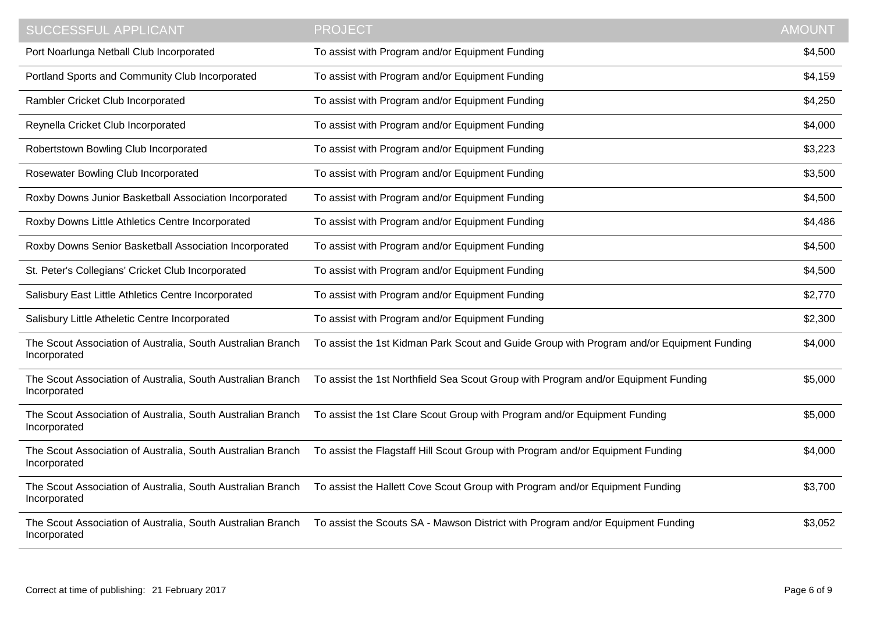| SUCCESSFUL APPLICANT                                                        | <b>PROJECT</b>                                                                            | <b>AMOUNT</b> |
|-----------------------------------------------------------------------------|-------------------------------------------------------------------------------------------|---------------|
| Port Noarlunga Netball Club Incorporated                                    | To assist with Program and/or Equipment Funding                                           | \$4,500       |
| Portland Sports and Community Club Incorporated                             | To assist with Program and/or Equipment Funding                                           | \$4,159       |
| Rambler Cricket Club Incorporated                                           | To assist with Program and/or Equipment Funding                                           | \$4,250       |
| Reynella Cricket Club Incorporated                                          | To assist with Program and/or Equipment Funding                                           | \$4,000       |
| Robertstown Bowling Club Incorporated                                       | To assist with Program and/or Equipment Funding                                           | \$3,223       |
| Rosewater Bowling Club Incorporated                                         | To assist with Program and/or Equipment Funding                                           | \$3,500       |
| Roxby Downs Junior Basketball Association Incorporated                      | To assist with Program and/or Equipment Funding                                           | \$4,500       |
| Roxby Downs Little Athletics Centre Incorporated                            | To assist with Program and/or Equipment Funding                                           | \$4,486       |
| Roxby Downs Senior Basketball Association Incorporated                      | To assist with Program and/or Equipment Funding                                           | \$4,500       |
| St. Peter's Collegians' Cricket Club Incorporated                           | To assist with Program and/or Equipment Funding                                           | \$4,500       |
| Salisbury East Little Athletics Centre Incorporated                         | To assist with Program and/or Equipment Funding                                           | \$2,770       |
| Salisbury Little Atheletic Centre Incorporated                              | To assist with Program and/or Equipment Funding                                           | \$2,300       |
| The Scout Association of Australia, South Australian Branch<br>Incorporated | To assist the 1st Kidman Park Scout and Guide Group with Program and/or Equipment Funding | \$4,000       |
| The Scout Association of Australia, South Australian Branch<br>Incorporated | To assist the 1st Northfield Sea Scout Group with Program and/or Equipment Funding        | \$5,000       |
| The Scout Association of Australia, South Australian Branch<br>Incorporated | To assist the 1st Clare Scout Group with Program and/or Equipment Funding                 | \$5,000       |
| The Scout Association of Australia, South Australian Branch<br>Incorporated | To assist the Flagstaff Hill Scout Group with Program and/or Equipment Funding            | \$4,000       |
| The Scout Association of Australia, South Australian Branch<br>Incorporated | To assist the Hallett Cove Scout Group with Program and/or Equipment Funding              | \$3,700       |
| The Scout Association of Australia, South Australian Branch<br>Incorporated | To assist the Scouts SA - Mawson District with Program and/or Equipment Funding           | \$3,052       |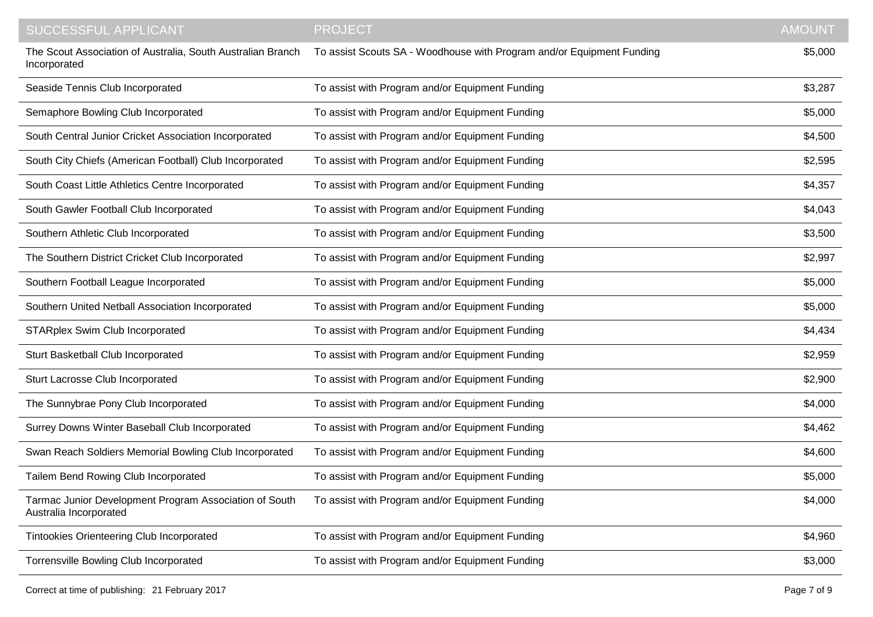| <b>SUCCESSFUL APPLICANT</b>                                                      | <b>PROJECT</b>                                                        | <b>AMOUNT</b> |
|----------------------------------------------------------------------------------|-----------------------------------------------------------------------|---------------|
| The Scout Association of Australia, South Australian Branch<br>Incorporated      | To assist Scouts SA - Woodhouse with Program and/or Equipment Funding | \$5,000       |
| Seaside Tennis Club Incorporated                                                 | To assist with Program and/or Equipment Funding                       | \$3,287       |
| Semaphore Bowling Club Incorporated                                              | To assist with Program and/or Equipment Funding                       | \$5,000       |
| South Central Junior Cricket Association Incorporated                            | To assist with Program and/or Equipment Funding                       | \$4,500       |
| South City Chiefs (American Football) Club Incorporated                          | To assist with Program and/or Equipment Funding                       | \$2,595       |
| South Coast Little Athletics Centre Incorporated                                 | To assist with Program and/or Equipment Funding                       | \$4,357       |
| South Gawler Football Club Incorporated                                          | To assist with Program and/or Equipment Funding                       | \$4,043       |
| Southern Athletic Club Incorporated                                              | To assist with Program and/or Equipment Funding                       | \$3,500       |
| The Southern District Cricket Club Incorporated                                  | To assist with Program and/or Equipment Funding                       | \$2,997       |
| Southern Football League Incorporated                                            | To assist with Program and/or Equipment Funding                       | \$5,000       |
| Southern United Netball Association Incorporated                                 | To assist with Program and/or Equipment Funding                       | \$5,000       |
| <b>STARplex Swim Club Incorporated</b>                                           | To assist with Program and/or Equipment Funding                       | \$4,434       |
| Sturt Basketball Club Incorporated                                               | To assist with Program and/or Equipment Funding                       | \$2,959       |
| Sturt Lacrosse Club Incorporated                                                 | To assist with Program and/or Equipment Funding                       | \$2,900       |
| The Sunnybrae Pony Club Incorporated                                             | To assist with Program and/or Equipment Funding                       | \$4,000       |
| Surrey Downs Winter Baseball Club Incorporated                                   | To assist with Program and/or Equipment Funding                       | \$4,462       |
| Swan Reach Soldiers Memorial Bowling Club Incorporated                           | To assist with Program and/or Equipment Funding                       | \$4,600       |
| Tailem Bend Rowing Club Incorporated                                             | To assist with Program and/or Equipment Funding                       | \$5,000       |
| Tarmac Junior Development Program Association of South<br>Australia Incorporated | To assist with Program and/or Equipment Funding                       | \$4,000       |
| Tintookies Orienteering Club Incorporated                                        | To assist with Program and/or Equipment Funding                       | \$4,960       |
| Torrensville Bowling Club Incorporated                                           | To assist with Program and/or Equipment Funding                       | \$3,000       |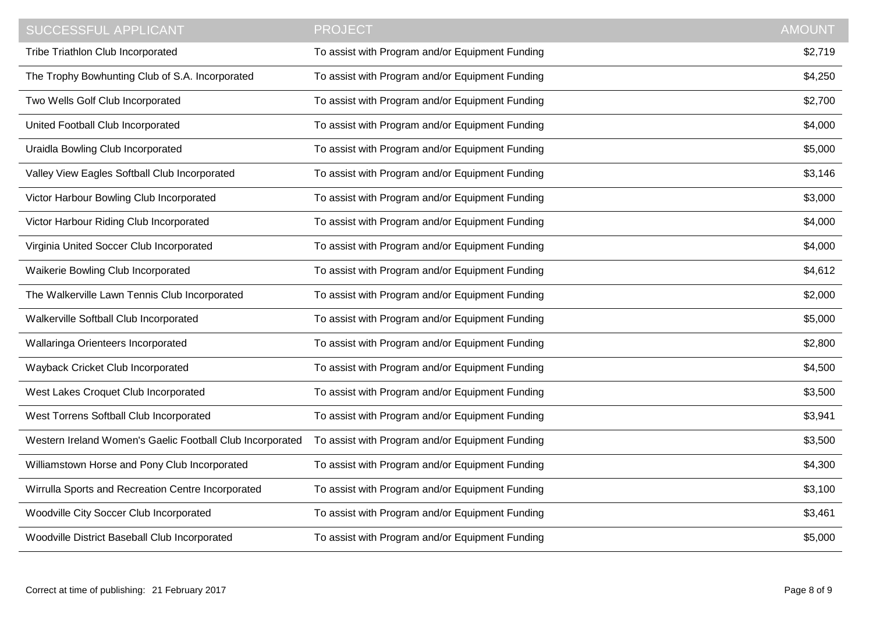| SUCCESSFUL APPLICANT                                      | <b>PROJECT</b>                                  | <b>AMOUNT</b> |
|-----------------------------------------------------------|-------------------------------------------------|---------------|
| Tribe Triathlon Club Incorporated                         | To assist with Program and/or Equipment Funding | \$2,719       |
| The Trophy Bowhunting Club of S.A. Incorporated           | To assist with Program and/or Equipment Funding | \$4,250       |
| Two Wells Golf Club Incorporated                          | To assist with Program and/or Equipment Funding | \$2,700       |
| United Football Club Incorporated                         | To assist with Program and/or Equipment Funding | \$4,000       |
| Uraidla Bowling Club Incorporated                         | To assist with Program and/or Equipment Funding | \$5,000       |
| Valley View Eagles Softball Club Incorporated             | To assist with Program and/or Equipment Funding | \$3,146       |
| Victor Harbour Bowling Club Incorporated                  | To assist with Program and/or Equipment Funding | \$3,000       |
| Victor Harbour Riding Club Incorporated                   | To assist with Program and/or Equipment Funding | \$4,000       |
| Virginia United Soccer Club Incorporated                  | To assist with Program and/or Equipment Funding | \$4,000       |
| Waikerie Bowling Club Incorporated                        | To assist with Program and/or Equipment Funding | \$4,612       |
| The Walkerville Lawn Tennis Club Incorporated             | To assist with Program and/or Equipment Funding | \$2,000       |
| Walkerville Softball Club Incorporated                    | To assist with Program and/or Equipment Funding | \$5,000       |
| Wallaringa Orienteers Incorporated                        | To assist with Program and/or Equipment Funding | \$2,800       |
| Wayback Cricket Club Incorporated                         | To assist with Program and/or Equipment Funding | \$4,500       |
| West Lakes Croquet Club Incorporated                      | To assist with Program and/or Equipment Funding | \$3,500       |
| West Torrens Softball Club Incorporated                   | To assist with Program and/or Equipment Funding | \$3,941       |
| Western Ireland Women's Gaelic Football Club Incorporated | To assist with Program and/or Equipment Funding | \$3,500       |
| Williamstown Horse and Pony Club Incorporated             | To assist with Program and/or Equipment Funding | \$4,300       |
| Wirrulla Sports and Recreation Centre Incorporated        | To assist with Program and/or Equipment Funding | \$3,100       |
| Woodville City Soccer Club Incorporated                   | To assist with Program and/or Equipment Funding | \$3,461       |
| Woodville District Baseball Club Incorporated             | To assist with Program and/or Equipment Funding | \$5,000       |